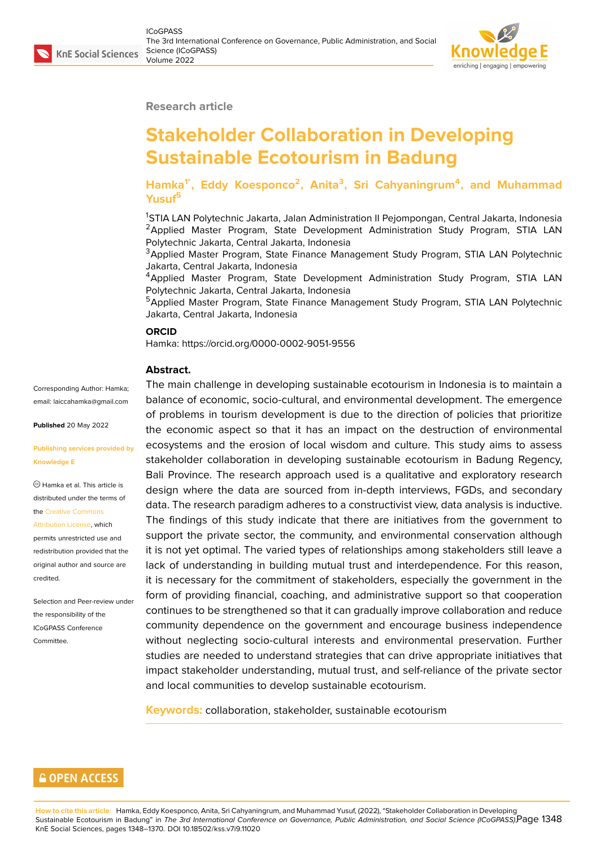#### **Research article**

# **Stakeholder Collaboration in Developing Sustainable Ecotourism in Badung**

**Hamka1\*, Eddy Koesponco<sup>2</sup> , Anita<sup>3</sup> , Sri Cahyaningrum<sup>4</sup> , and Muhammad Yusuf<sup>5</sup>**

<sup>1</sup>STIA LAN Polytechnic Jakarta, Jalan Administration II Pejompongan, Central Jakarta, Indonesia <sup>2</sup>Applied Master Program, State Development Administration Study Program, STIA LAN Polytechnic Jakarta, Central Jakarta, Indonesia

<sup>3</sup>Applied Master Program, State Finance Management Study Program, STIA LAN Polytechnic Jakarta, Central Jakarta, Indonesia

<sup>4</sup>Applied Master Program, State Development Administration Study Program, STIA LAN Polytechnic Jakarta, Central Jakarta, Indonesia

<sup>5</sup>Applied Master Program, State Finance Management Study Program, STIA LAN Polytechnic Jakarta, Central Jakarta, Indonesia

#### **ORCID**

Hamka: https://orcid.org/0000-0002-9051-9556

#### **Abstract.**

Corresponding Author: Hamka; email: laiccahamka@gmail.com

**Published** 20 May 2022

**Publis[hing services provided b](mailto:laiccahamka@gmail.com)y Knowledge E**

Hamka et al. This article is distributed under the terms of the Creative Commons Attribution License, which

permits unrestricted use and redistribution provided that the orig[inal author and sou](https://creativecommons.org/licenses/by/4.0/)rce are [credited.](https://creativecommons.org/licenses/by/4.0/)

Selection and Peer-review under the responsibility of the ICoGPASS Conference Committee.

The main challenge in developing sustainable ecotourism in Indonesia is to maintain a balance of economic, socio-cultural, and environmental development. The emergence of problems in tourism development is due to the direction of policies that prioritize the economic aspect so that it has an impact on the destruction of environmental ecosystems and the erosion of local wisdom and culture. This study aims to assess stakeholder collaboration in developing sustainable ecotourism in Badung Regency, Bali Province. The research approach used is a qualitative and exploratory research design where the data are sourced from in-depth interviews, FGDs, and secondary data. The research paradigm adheres to a constructivist view, data analysis is inductive. The findings of this study indicate that there are initiatives from the government to support the private sector, the community, and environmental conservation although it is not yet optimal. The varied types of relationships among stakeholders still leave a lack of understanding in building mutual trust and interdependence. For this reason, it is necessary for the commitment of stakeholders, especially the government in the form of providing financial, coaching, and administrative support so that cooperation continues to be strengthened so that it can gradually improve collaboration and reduce community dependence on the government and encourage business independence without neglecting socio-cultural interests and environmental preservation. Further studies are needed to understand strategies that can drive appropriate initiatives that impact stakeholder understanding, mutual trust, and self-reliance of the private sector and local communities to develop sustainable ecotourism.

**Keywords:** collaboration, stakeholder, sustainable ecotourism

## **GOPEN ACCESS**

**How to cite this article**: Hamka, Eddy Koesponco, Anita, Sri Cahyaningrum, and Muhammad Yusuf, (2022), "Stakeholder Collaboration in Developing Sustainable Ecotourism in Badung" in *The 3rd International Conference on Governance, Public Administration, and Social Science (ICoGPASS)*, Page 1348 KnE Social Sciences, pages 1348–1370. DOI 10.18502/kss.v7i9.11020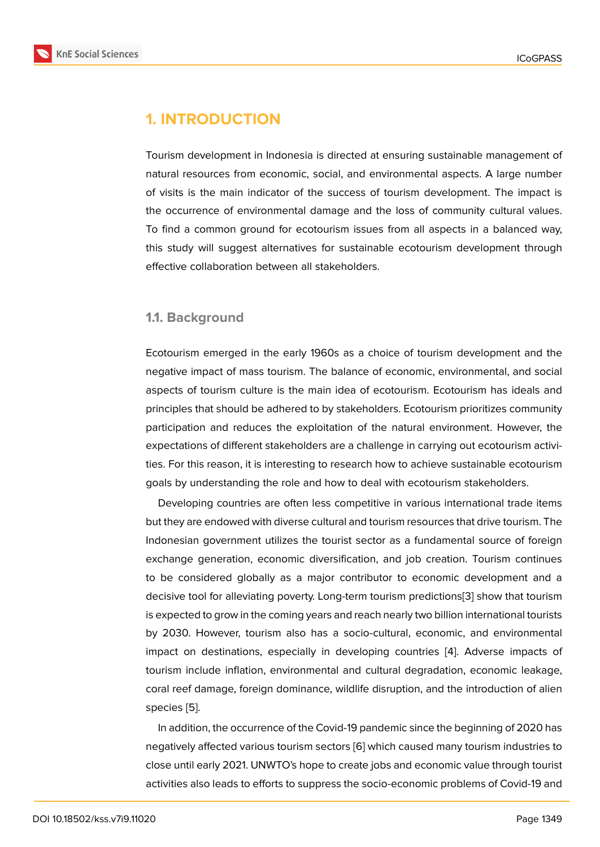# **1. INTRODUCTION**

Tourism development in Indonesia is directed at ensuring sustainable management of natural resources from economic, social, and environmental aspects. A large number of visits is the main indicator of the success of tourism development. The impact is the occurrence of environmental damage and the loss of community cultural values. To find a common ground for ecotourism issues from all aspects in a balanced way, this study will suggest alternatives for sustainable ecotourism development through effective collaboration between all stakeholders.

#### **1.1. Background**

Ecotourism emerged in the early 1960s as a choice of tourism development and the negative impact of mass tourism. The balance of economic, environmental, and social aspects of tourism culture is the main idea of ecotourism. Ecotourism has ideals and principles that should be adhered to by stakeholders. Ecotourism prioritizes community participation and reduces the exploitation of the natural environment. However, the expectations of different stakeholders are a challenge in carrying out ecotourism activities. For this reason, it is interesting to research how to achieve sustainable ecotourism goals by understanding the role and how to deal with ecotourism stakeholders.

Developing countries are often less competitive in various international trade items but they are endowed with diverse cultural and tourism resources that drive tourism. The Indonesian government utilizes the tourist sector as a fundamental source of foreign exchange generation, economic diversification, and job creation. Tourism continues to be considered globally as a major contributor to economic development and a decisive tool for alleviating poverty. Long-term tourism predictions[3] show that tourism is expected to grow in the coming years and reach nearly two billion international tourists by 2030. However, tourism also has a socio-cultural, economic, and environmental impact on destinations, especially in developing countries [4]. [A](#page-18-0)dverse impacts of tourism include inflation, environmental and cultural degradation, economic leakage, coral reef damage, foreign dominance, wildlife disruption, and the introduction of alien species [5].

In addition, the occurrence of the Covid-19 pandemic since the beginning of 2020 has negatively affected various tourism sectors [6] which caused many tourism industries to close un[til](#page-18-1) early 2021. UNWTO's hope to create jobs and economic value through tourist activities also leads to efforts to suppress the socio-economic problems of Covid-19 and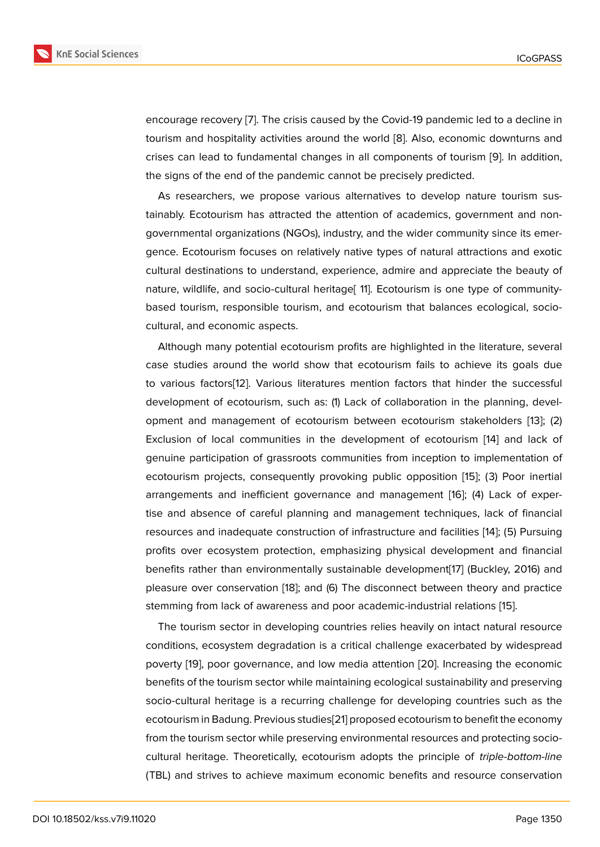encourage recovery [7]. The crisis caused by the Covid-19 pandemic led to a decline in tourism and hospitality activities around the world [8]. Also, economic downturns and crises can lead to fundamental changes in all components of tourism [9]. In addition, the signs of the end [of](#page-18-2) the pandemic cannot be precisely predicted.

As researchers, we propose various alternativ[es](#page-18-3) to develop nature tourism sustainably. Ecotourism has attracted the attention of academics, govern[me](#page-18-4)nt and nongovernmental organizations (NGOs), industry, and the wider community since its emergence. Ecotourism focuses on relatively native types of natural attractions and exotic cultural destinations to understand, experience, admire and appreciate the beauty of nature, wildlife, and socio-cultural heritage[ 11]. Ecotourism is one type of communitybased tourism, responsible tourism, and ecotourism that balances ecological, sociocultural, and economic aspects.

Although many potential ecotourism profits are highlighted in the literature, several case studies around the world show that ecotourism fails to achieve its goals due to various factors[12]. Various literatures mention factors that hinder the successful development of ecotourism, such as: (1) Lack of collaboration in the planning, development and management of ecotourism between ecotourism stakeholders [13]; (2) Exclusion of local [co](#page-18-5)mmunities in the development of ecotourism [14] and lack of genuine participation of grassroots communities from inception to implementation of ecotourism projects, consequently provoking public opposition [15]; (3) Poor [ine](#page-18-6)rtial arrangements and inefficient governance and management [16]; (4) [La](#page-18-7)ck of expertise and absence of careful planning and management techniques, lack of financial resources and inadequate construction of infrastructure and facili[ties](#page-18-8) [14]; (5) Pursuing profits over ecosystem protection, emphasizing physical dev[elo](#page-18-9)pment and financial benefits rather than environmentally sustainable development[17] (Buckley, 2016) and pleasure over conservation [18]; and (6) The disconnect between the[ory](#page-18-7) and practice stemming from lack of awareness and poor academic-industrial relations [15].

The tourism sector in developing countries relies heavily on [in](#page-18-10)tact natural resource conditions, ecosystem degr[ada](#page-19-0)tion is a critical challenge exacerbated by widespread poverty [19], poor governance, and low media attention [20]. Increasing t[he](#page-18-8) economic benefits of the tourism sector while maintaining ecological sustainability and preserving socio-cultural heritage is a recurring challenge for developing countries such as the ecotouri[sm](#page-19-1) in Badung. Previous studies[21] proposed ecot[our](#page-19-2)ism to benefit the economy from the tourism sector while preserving environmental resources and protecting sociocultural heritage. Theoretically, ecotourism adopts the principle of *triple-bottom-line* (TBL) and strives to achieve maximum [ec](#page-19-3)onomic benefits and resource conservation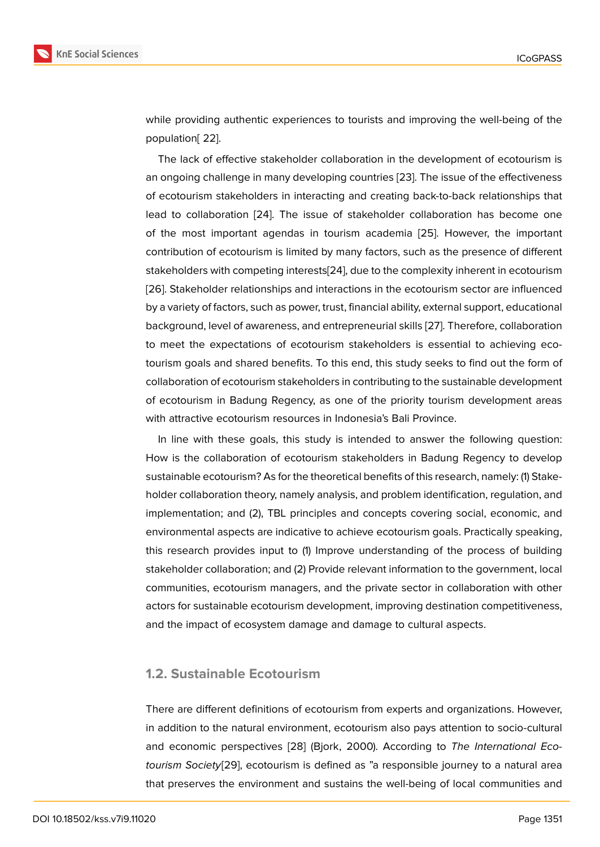while providing authentic experiences to tourists and improving the well-being of the population[ 22].

The lack of effective stakeholder collaboration in the development of ecotourism is an ongoing challenge in many developing countries [23]. The issue of the effectiveness of ecotourism stakeholders in interacting and creating back-to-back relationships that lead to collaboration [24]. The issue of stakeholder collaboration has become one of the most important agendas in tourism acade[mia](#page-19-4) [25]. However, the important contribution of ecotourism is limited by many factors, such as the presence of different stakeholders with com[pet](#page-19-5)ing interests[24], due to the complexity inherent in ecotourism [26]. Stakeholder relationships and interactions in the ec[otou](#page-19-6)rism sector are influenced by a variety of factors, such as power, trust, financial ability, external support, educational background, level of awareness, and e[ntre](#page-19-5)preneurial skills [27]. Therefore, collaboration [to m](#page-19-7)eet the expectations of ecotourism stakeholders is essential to achieving ecotourism goals and shared benefits. To this end, this study seeks to find out the form of collaboration of ecotourism stakeholders in contributing to t[he](#page-19-8) sustainable development of ecotourism in Badung Regency, as one of the priority tourism development areas with attractive ecotourism resources in Indonesia's Bali Province.

In line with these goals, this study is intended to answer the following question: How is the collaboration of ecotourism stakeholders in Badung Regency to develop sustainable ecotourism? As for the theoretical benefits of this research, namely: (1) Stakeholder collaboration theory, namely analysis, and problem identification, regulation, and implementation; and (2), TBL principles and concepts covering social, economic, and environmental aspects are indicative to achieve ecotourism goals. Practically speaking, this research provides input to (1) Improve understanding of the process of building stakeholder collaboration; and (2) Provide relevant information to the government, local communities, ecotourism managers, and the private sector in collaboration with other actors for sustainable ecotourism development, improving destination competitiveness, and the impact of ecosystem damage and damage to cultural aspects.

#### **1.2. Sustainable Ecotourism**

There are different definitions of ecotourism from experts and organizations. However, in addition to the natural environment, ecotourism also pays attention to socio-cultural and economic perspectives [28] (Bjork, 2000). According to *The International Ecotourism Society*[29], ecotourism is defined as "a responsible journey to a natural area that preserves the environment and sustains the well-being of local communities and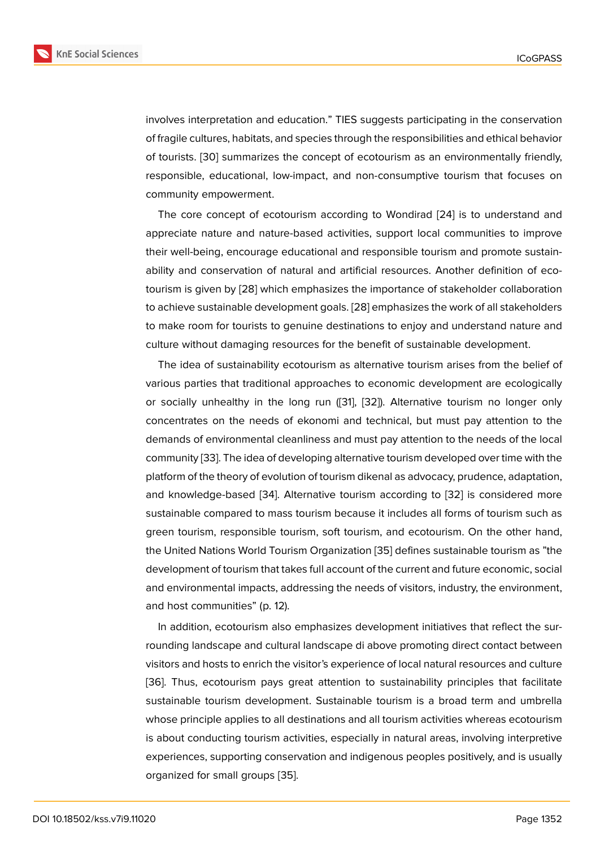involves interpretation and education." TIES suggests participating in the conservation of fragile cultures, habitats, and species through the responsibilities and ethical behavior of tourists. [30] summarizes the concept of ecotourism as an environmentally friendly, responsible, educational, low-impact, and non-consumptive tourism that focuses on community empowerment.

The core [co](#page-19-9)ncept of ecotourism according to Wondirad [24] is to understand and appreciate nature and nature-based activities, support local communities to improve their well-being, encourage educational and responsible tourism and promote sustainability and conservation of natural and artificial resources. [Ano](#page-19-5)ther definition of ecotourism is given by [28] which emphasizes the importance of stakeholder collaboration to achieve sustainable development goals. [28] emphasizes the work of all stakeholders to make room for tourists to genuine destinations to enjoy and understand nature and culture without da[magi](#page-19-10)ng resources for the benefit of sustainable development.

The idea of sustainability ecotourism as [alte](#page-19-10)rnative tourism arises from the belief of various parties that traditional approaches to economic development are ecologically or socially unhealthy in the long run ([31], [32]). Alternative tourism no longer only concentrates on the needs of ekonomi and technical, but must pay attention to the demands of environmental cleanliness and must pay attention to the needs of the local community [33]. The idea of developing a[lte](#page-19-11)rn[ativ](#page-19-12)e tourism developed over time with the platform of the theory of evolution of tourism dikenal as advocacy, prudence, adaptation, and knowledge-based [34]. Alternative tourism according to [32] is considered more sustainable [com](#page-19-13)pared to mass tourism because it includes all forms of tourism such as green tourism, responsible tourism, soft tourism, and ecotourism. On the other hand, the United Nations Worl[d To](#page-20-0)urism Organization [35] defines su[stai](#page-19-12)nable tourism as "the development of tourism that takes full account of the current and future economic, social and environmental impacts, addressing the needs of visitors, industry, the environment, and host communities" (p. 12).

In addition, ecotourism also emphasizes development initiatives that reflect the surrounding landscape and cultural landscape di above promoting direct contact between visitors and hosts to enrich the visitor's experience of local natural resources and culture [36]. Thus, ecotourism pays great attention to sustainability principles that facilitate sustainable tourism development. Sustainable tourism is a broad term and umbrella whose principle applies to all destinations and all tourism activities whereas ecotourism i[s a](#page-20-1)bout conducting tourism activities, especially in natural areas, involving interpretive experiences, supporting conservation and indigenous peoples positively, and is usually organized for small groups [35].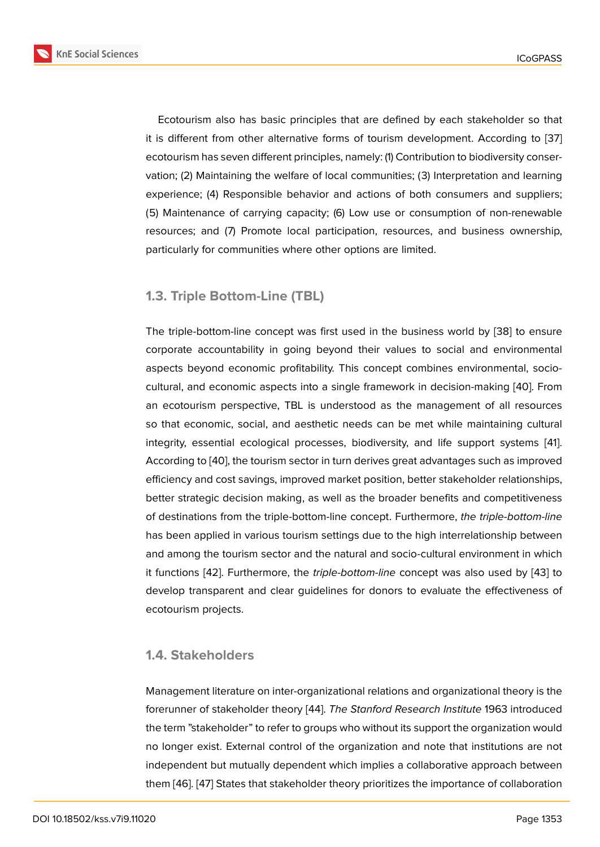Ecotourism also has basic principles that are defined by each stakeholder so that it is different from other alternative forms of tourism development. According to [37] ecotourism has seven different principles, namely: (1) Contribution to biodiversity conservation; (2) Maintaining the welfare of local communities; (3) Interpretation and learning experience; (4) Responsible behavior and actions of both consumers and suppli[ers;](#page-20-2) (5) Maintenance of carrying capacity; (6) Low use or consumption of non-renewable resources; and (7) Promote local participation, resources, and business ownership, particularly for communities where other options are limited.

## **1.3. Triple Bottom-Line (TBL)**

The triple-bottom-line concept was first used in the business world by [38] to ensure corporate accountability in going beyond their values to social and environmental aspects beyond economic profitability. This concept combines environmental, sociocultural, and economic aspects into a single framework in decision-mak[ing](#page-20-3) [40]. From an ecotourism perspective, TBL is understood as the management of all resources so that economic, social, and aesthetic needs can be met while maintaining cultural integrity, essential ecological processes, biodiversity, and life support sy[stem](#page-20-4)s [41]. According to [40], the tourism sector in turn derives great advantages such as improved efficiency and cost savings, improved market position, better stakeholder relationships, better strategic decision making, as well as the broader benefits and competitiven[es](#page-20-5)s of destination[s fr](#page-20-4)om the triple-bottom-line concept. Furthermore, *the triple-bottom-line* has been applied in various tourism settings due to the high interrelationship between and among the tourism sector and the natural and socio-cultural environment in which it functions [42]. Furthermore, the *triple-bottom-line* concept was also used by [43] to develop transparent and clear guidelines for donors to evaluate the effectiveness of ecotourism projects.

#### **1.4. Stakeholders**

Management literature on inter-organizational relations and organizational theory is the forerunner of stakeholder theory [44]. *The Stanford Research Institute* 1963 introduced the term "stakeholder" to refer to groups who without its support the organization would no longer exist. External control of the organization and note that institutions are not independent but mutually depen[den](#page-20-6)t which implies a collaborative approach between them [46]. [47] States that stakeholder theory prioritizes the importance of collaboration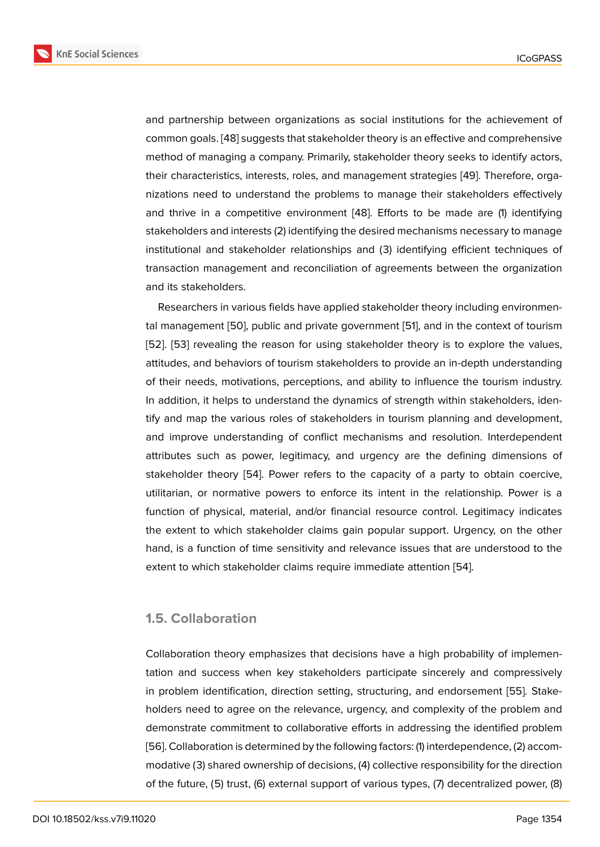and partnership between organizations as social institutions for the achievement of common goals. [48] suggests that stakeholder theory is an effective and comprehensive method of managing a company. Primarily, stakeholder theory seeks to identify actors, their characteristics, interests, roles, and management strategies [49]. Therefore, organizations need [to u](#page-20-7)nderstand the problems to manage their stakeholders effectively and thrive in a competitive environment [48]. Efforts to be made are (1) identifying stakeholders and interests (2) identifying the desired mechanisms [nec](#page-21-0)essary to manage institutional and stakeholder relationships and (3) identifying efficient techniques of transaction management and reconciliatio[n o](#page-20-7)f agreements between the organization and its stakeholders.

Researchers in various fields have applied stakeholder theory including environmental management [50], public and private government [51], and in the context of tourism [52]. [53] revealing the reason for using stakeholder theory is to explore the values, attitudes, and behaviors of tourism stakeholders to provide an in-depth understanding of their needs, [motiv](#page-21-1)ations, perceptions, and ability t[o i](#page-21-2)nfluence the tourism industry. I[n a](#page-21-3)d[ditio](#page-21-4)n, it helps to understand the dynamics of strength within stakeholders, identify and map the various roles of stakeholders in tourism planning and development, and improve understanding of conflict mechanisms and resolution. Interdependent attributes such as power, legitimacy, and urgency are the defining dimensions of stakeholder theory [54]. Power refers to the capacity of a party to obtain coercive, utilitarian, or normative powers to enforce its intent in the relationship. Power is a function of physical, material, and/or financial resource control. Legitimacy indicates the extent to which [sta](#page-21-5)keholder claims gain popular support. Urgency, on the other hand, is a function of time sensitivity and relevance issues that are understood to the extent to which stakeholder claims require immediate attention [54].

#### **1.5. Collaboration**

Collaboration theory emphasizes that decisions have a high probability of implementation and success when key stakeholders participate sincerely and compressively in problem identification, direction setting, structuring, and endorsement [55]. Stakeholders need to agree on the relevance, urgency, and complexity of the problem and demonstrate commitment to collaborative efforts in addressing the identified problem [56]. Collaboration is determined by the following factors: (1) interdependence[, \(2\)](#page-21-6) accommodative (3) shared ownership of decisions, (4) collective responsibility for the direction of the future, (5) trust, (6) external support of various types, (7) decentralized power, (8)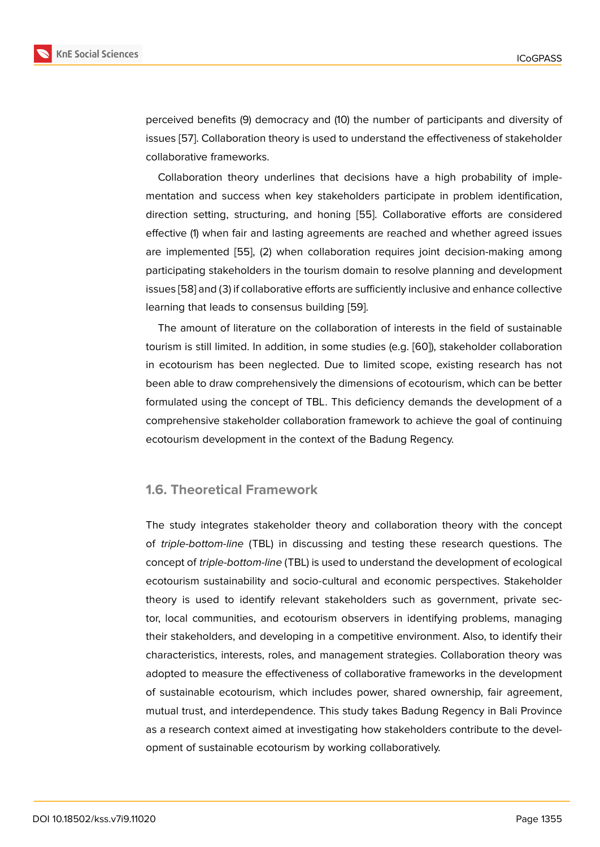perceived benefits (9) democracy and (10) the number of participants and diversity of issues [57]. Collaboration theory is used to understand the effectiveness of stakeholder collaborative frameworks.

Collaboration theory underlines that decisions have a high probability of implementat[ion](#page-21-7) and success when key stakeholders participate in problem identification, direction setting, structuring, and honing [55]. Collaborative efforts are considered effective (1) when fair and lasting agreements are reached and whether agreed issues are implemented [55], (2) when collaboration requires joint decision-making among participating stakeholders in the tourism do[mai](#page-21-6)n to resolve planning and development issues [58] and (3) if collaborative efforts are sufficiently inclusive and enhance collective learning that leads [to](#page-21-6) consensus building [59].

The amount of literature on the collaboration of interests in the field of sustainable touris[m is](#page-21-8) still limited. In addition, in some studies (e.g. [60]), stakeholder collaboration in ecotourism has been neglected. Due [to l](#page-21-9)imited scope, existing research has not been able to draw comprehensively the dimensions of ecotourism, which can be better formulated using the concept of TBL. This deficiency d[em](#page-21-10)ands the development of a comprehensive stakeholder collaboration framework to achieve the goal of continuing ecotourism development in the context of the Badung Regency.

#### **1.6. Theoretical Framework**

The study integrates stakeholder theory and collaboration theory with the concept of *triple-bottom-line* (TBL) in discussing and testing these research questions. The concept of *triple-bottom-line* (TBL) is used to understand the development of ecological ecotourism sustainability and socio-cultural and economic perspectives. Stakeholder theory is used to identify relevant stakeholders such as government, private sector, local communities, and ecotourism observers in identifying problems, managing their stakeholders, and developing in a competitive environment. Also, to identify their characteristics, interests, roles, and management strategies. Collaboration theory was adopted to measure the effectiveness of collaborative frameworks in the development of sustainable ecotourism, which includes power, shared ownership, fair agreement, mutual trust, and interdependence. This study takes Badung Regency in Bali Province as a research context aimed at investigating how stakeholders contribute to the development of sustainable ecotourism by working collaboratively.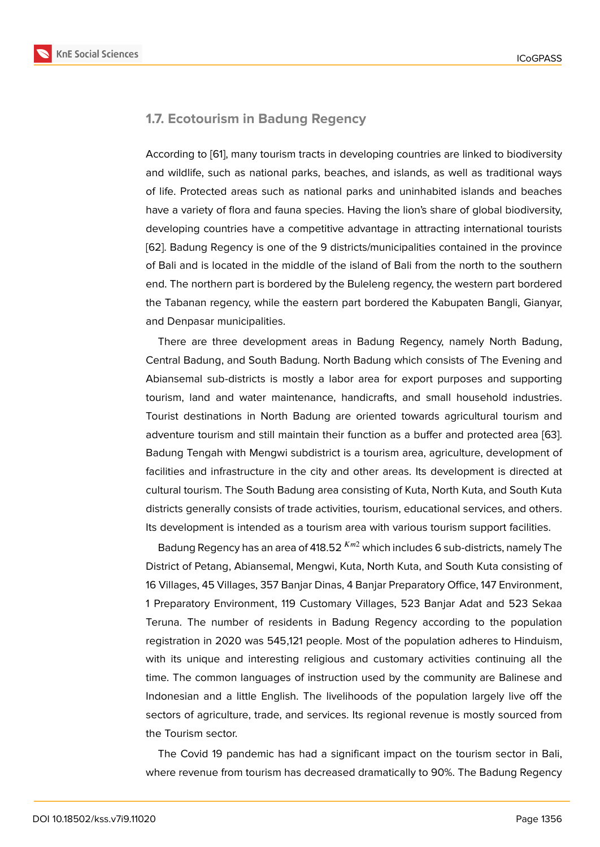#### **1.7. Ecotourism in Badung Regency**

According to [61], many tourism tracts in developing countries are linked to biodiversity and wildlife, such as national parks, beaches, and islands, as well as traditional ways of life. Protected areas such as national parks and uninhabited islands and beaches have a variet[y o](#page-21-11)f flora and fauna species. Having the lion's share of global biodiversity, developing countries have a competitive advantage in attracting international tourists [62]. Badung Regency is one of the 9 districts/municipalities contained in the province of Bali and is located in the middle of the island of Bali from the north to the southern end. The northern part is bordered by the Buleleng regency, the western part bordered [the](#page-21-12) Tabanan regency, while the eastern part bordered the Kabupaten Bangli, Gianyar, and Denpasar municipalities.

There are three development areas in Badung Regency, namely North Badung, Central Badung, and South Badung. North Badung which consists of The Evening and Abiansemal sub-districts is mostly a labor area for export purposes and supporting tourism, land and water maintenance, handicrafts, and small household industries. Tourist destinations in North Badung are oriented towards agricultural tourism and adventure tourism and still maintain their function as a buffer and protected area [63]. Badung Tengah with Mengwi subdistrict is a tourism area, agriculture, development of facilities and infrastructure in the city and other areas. Its development is directed at cultural tourism. The South Badung area consisting of Kuta, North Kuta, and South [Kuta](#page-21-13) districts generally consists of trade activities, tourism, educational services, and others. Its development is intended as a tourism area with various tourism support facilities.

Badung Regency has an area of 418.52  $^{Km2}$  which includes 6 sub-districts, namely The District of Petang, Abiansemal, Mengwi, Kuta, North Kuta, and South Kuta consisting of 16 Villages, 45 Villages, 357 Banjar Dinas, 4 Banjar Preparatory Office, 147 Environment, 1 Preparatory Environment, 119 Customary Villages, 523 Banjar Adat and 523 Sekaa Teruna. The number of residents in Badung Regency according to the population registration in 2020 was 545,121 people. Most of the population adheres to Hinduism, with its unique and interesting religious and customary activities continuing all the time. The common languages of instruction used by the community are Balinese and Indonesian and a little English. The livelihoods of the population largely live off the sectors of agriculture, trade, and services. Its regional revenue is mostly sourced from the Tourism sector.

The Covid 19 pandemic has had a significant impact on the tourism sector in Bali, where revenue from tourism has decreased dramatically to 90%. The Badung Regency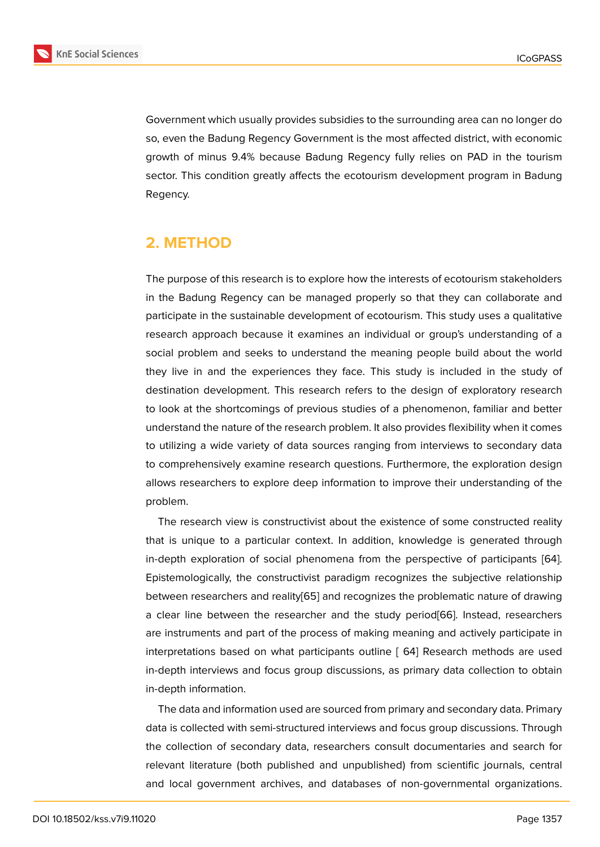Government which usually provides subsidies to the surrounding area can no longer do so, even the Badung Regency Government is the most affected district, with economic growth of minus 9.4% because Badung Regency fully relies on PAD in the tourism sector. This condition greatly affects the ecotourism development program in Badung Regency.

# **2. METHOD**

The purpose of this research is to explore how the interests of ecotourism stakeholders in the Badung Regency can be managed properly so that they can collaborate and participate in the sustainable development of ecotourism. This study uses a qualitative research approach because it examines an individual or group's understanding of a social problem and seeks to understand the meaning people build about the world they live in and the experiences they face. This study is included in the study of destination development. This research refers to the design of exploratory research to look at the shortcomings of previous studies of a phenomenon, familiar and better understand the nature of the research problem. It also provides flexibility when it comes to utilizing a wide variety of data sources ranging from interviews to secondary data to comprehensively examine research questions. Furthermore, the exploration design allows researchers to explore deep information to improve their understanding of the problem.

The research view is constructivist about the existence of some constructed reality that is unique to a particular context. In addition, knowledge is generated through in-depth exploration of social phenomena from the perspective of participants [64]. Epistemologically, the constructivist paradigm recognizes the subjective relationship between researchers and reality[65] and recognizes the problematic nature of drawing a clear line between the researcher and the study period[66]. Instead, researc[her](#page-22-0)s are instruments and part of the process of making meaning and actively participate in interpretations based on what [part](#page-22-1)icipants outline [ 64] Research methods are used in-depth interviews and focus group discussions, as primary [da](#page-22-2)ta collection to obtain in-depth information.

The data and information used are sourced from primary and secondary data. Primary data is collected with semi-structured interviews and focus group discussions. Through the collection of secondary data, researchers consult documentaries and search for relevant literature (both published and unpublished) from scientific journals, central and local government archives, and databases of non-governmental organizations.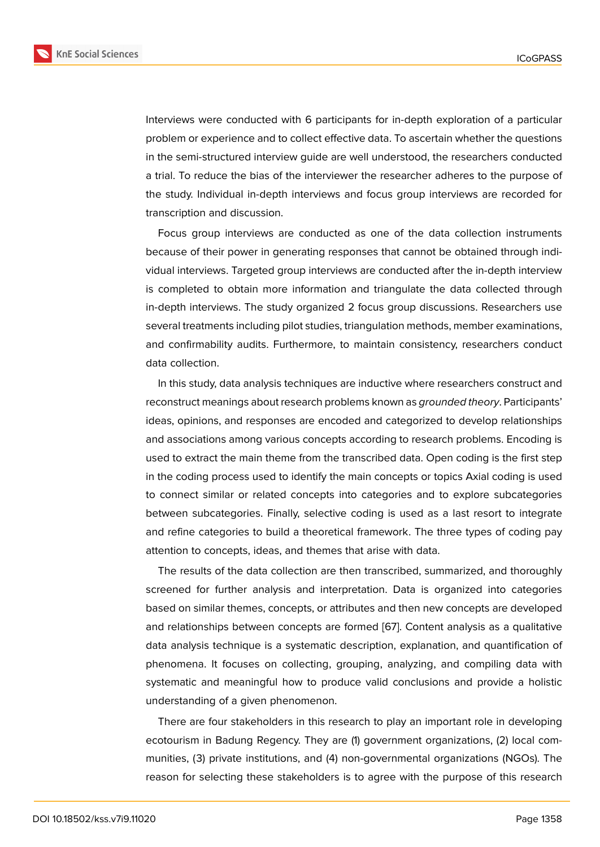Interviews were conducted with 6 participants for in-depth exploration of a particular problem or experience and to collect effective data. To ascertain whether the questions in the semi-structured interview guide are well understood, the researchers conducted a trial. To reduce the bias of the interviewer the researcher adheres to the purpose of the study. Individual in-depth interviews and focus group interviews are recorded for transcription and discussion.

Focus group interviews are conducted as one of the data collection instruments because of their power in generating responses that cannot be obtained through individual interviews. Targeted group interviews are conducted after the in-depth interview is completed to obtain more information and triangulate the data collected through in-depth interviews. The study organized 2 focus group discussions. Researchers use several treatments including pilot studies, triangulation methods, member examinations, and confirmability audits. Furthermore, to maintain consistency, researchers conduct data collection.

In this study, data analysis techniques are inductive where researchers construct and reconstruct meanings about research problems known as *grounded theory*. Participants' ideas, opinions, and responses are encoded and categorized to develop relationships and associations among various concepts according to research problems. Encoding is used to extract the main theme from the transcribed data. Open coding is the first step in the coding process used to identify the main concepts or topics Axial coding is used to connect similar or related concepts into categories and to explore subcategories between subcategories. Finally, selective coding is used as a last resort to integrate and refine categories to build a theoretical framework. The three types of coding pay attention to concepts, ideas, and themes that arise with data.

The results of the data collection are then transcribed, summarized, and thoroughly screened for further analysis and interpretation. Data is organized into categories based on similar themes, concepts, or attributes and then new concepts are developed and relationships between concepts are formed [67]. Content analysis as a qualitative data analysis technique is a systematic description, explanation, and quantification of phenomena. It focuses on collecting, grouping, analyzing, and compiling data with systematic and meaningful how to produce vali[d c](#page-22-3)onclusions and provide a holistic understanding of a given phenomenon.

There are four stakeholders in this research to play an important role in developing ecotourism in Badung Regency. They are (1) government organizations, (2) local communities, (3) private institutions, and (4) non-governmental organizations (NGOs). The reason for selecting these stakeholders is to agree with the purpose of this research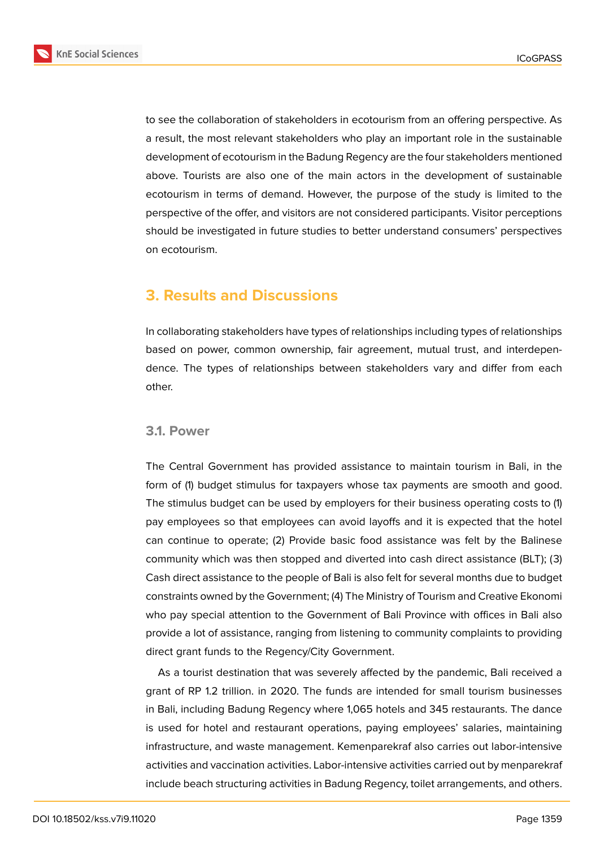

to see the collaboration of stakeholders in ecotourism from an offering perspective. As a result, the most relevant stakeholders who play an important role in the sustainable development of ecotourism in the Badung Regency are the four stakeholders mentioned above. Tourists are also one of the main actors in the development of sustainable ecotourism in terms of demand. However, the purpose of the study is limited to the perspective of the offer, and visitors are not considered participants. Visitor perceptions should be investigated in future studies to better understand consumers' perspectives on ecotourism.

# **3. Results and Discussions**

In collaborating stakeholders have types of relationships including types of relationships based on power, common ownership, fair agreement, mutual trust, and interdependence. The types of relationships between stakeholders vary and differ from each other.

#### **3.1. Power**

The Central Government has provided assistance to maintain tourism in Bali, in the form of (1) budget stimulus for taxpayers whose tax payments are smooth and good. The stimulus budget can be used by employers for their business operating costs to (1) pay employees so that employees can avoid layoffs and it is expected that the hotel can continue to operate; (2) Provide basic food assistance was felt by the Balinese community which was then stopped and diverted into cash direct assistance (BLT); (3) Cash direct assistance to the people of Bali is also felt for several months due to budget constraints owned by the Government; (4) The Ministry of Tourism and Creative Ekonomi who pay special attention to the Government of Bali Province with offices in Bali also provide a lot of assistance, ranging from listening to community complaints to providing direct grant funds to the Regency/City Government.

As a tourist destination that was severely affected by the pandemic, Bali received a grant of RP 1.2 trillion. in 2020. The funds are intended for small tourism businesses in Bali, including Badung Regency where 1,065 hotels and 345 restaurants. The dance is used for hotel and restaurant operations, paying employees' salaries, maintaining infrastructure, and waste management. Kemenparekraf also carries out labor-intensive activities and vaccination activities. Labor-intensive activities carried out by menparekraf include beach structuring activities in Badung Regency, toilet arrangements, and others.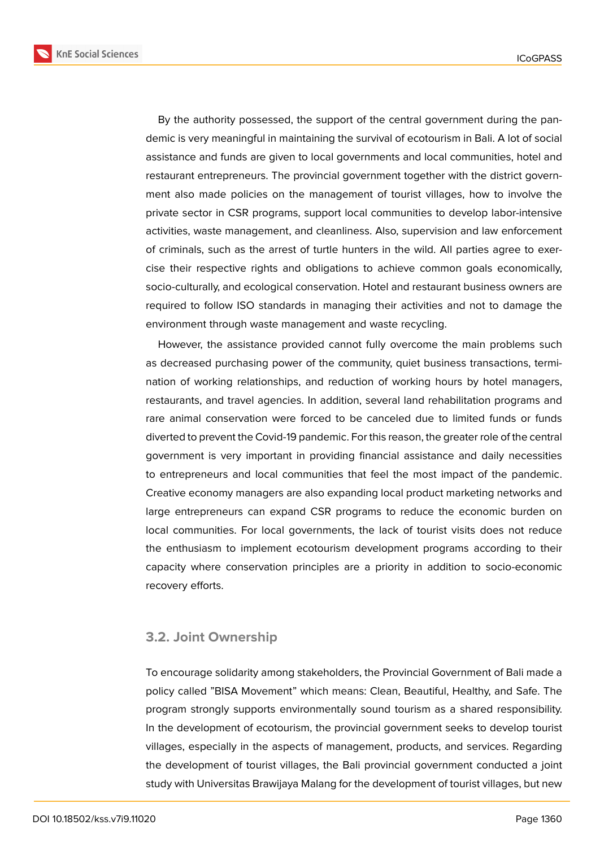**KnE Social Sciences** 



By the authority possessed, the support of the central government during the pandemic is very meaningful in maintaining the survival of ecotourism in Bali. A lot of social assistance and funds are given to local governments and local communities, hotel and restaurant entrepreneurs. The provincial government together with the district government also made policies on the management of tourist villages, how to involve the private sector in CSR programs, support local communities to develop labor-intensive activities, waste management, and cleanliness. Also, supervision and law enforcement of criminals, such as the arrest of turtle hunters in the wild. All parties agree to exercise their respective rights and obligations to achieve common goals economically, socio-culturally, and ecological conservation. Hotel and restaurant business owners are required to follow ISO standards in managing their activities and not to damage the environment through waste management and waste recycling.

However, the assistance provided cannot fully overcome the main problems such as decreased purchasing power of the community, quiet business transactions, termination of working relationships, and reduction of working hours by hotel managers, restaurants, and travel agencies. In addition, several land rehabilitation programs and rare animal conservation were forced to be canceled due to limited funds or funds diverted to prevent the Covid-19 pandemic. For this reason, the greater role of the central government is very important in providing financial assistance and daily necessities to entrepreneurs and local communities that feel the most impact of the pandemic. Creative economy managers are also expanding local product marketing networks and large entrepreneurs can expand CSR programs to reduce the economic burden on local communities. For local governments, the lack of tourist visits does not reduce the enthusiasm to implement ecotourism development programs according to their capacity where conservation principles are a priority in addition to socio-economic recovery efforts.

#### **3.2. Joint Ownership**

To encourage solidarity among stakeholders, the Provincial Government of Bali made a policy called "BISA Movement" which means: Clean, Beautiful, Healthy, and Safe. The program strongly supports environmentally sound tourism as a shared responsibility. In the development of ecotourism, the provincial government seeks to develop tourist villages, especially in the aspects of management, products, and services. Regarding the development of tourist villages, the Bali provincial government conducted a joint study with Universitas Brawijaya Malang for the development of tourist villages, but new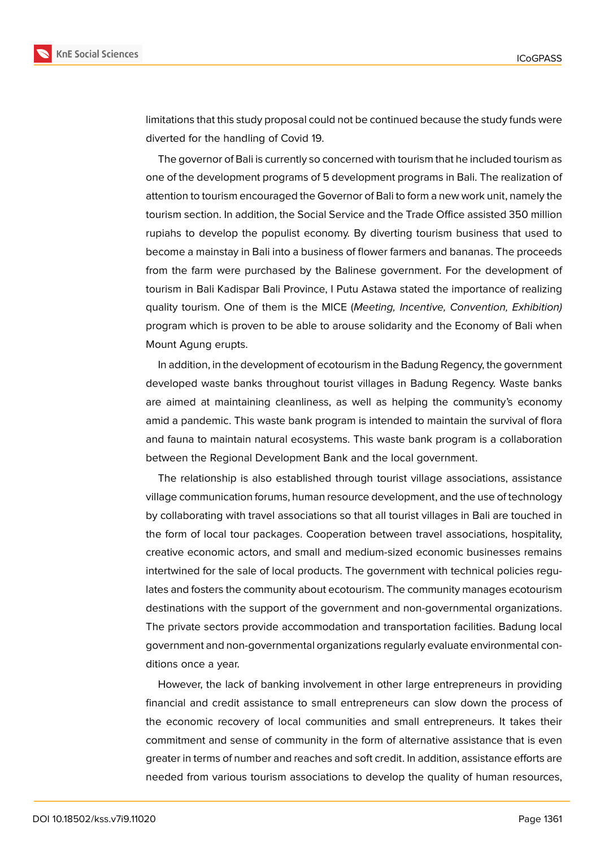



limitations that this study proposal could not be continued because the study funds were diverted for the handling of Covid 19.

The governor of Bali is currently so concerned with tourism that he included tourism as one of the development programs of 5 development programs in Bali. The realization of attention to tourism encouraged the Governor of Bali to form a new work unit, namely the tourism section. In addition, the Social Service and the Trade Office assisted 350 million rupiahs to develop the populist economy. By diverting tourism business that used to become a mainstay in Bali into a business of flower farmers and bananas. The proceeds from the farm were purchased by the Balinese government. For the development of tourism in Bali Kadispar Bali Province, I Putu Astawa stated the importance of realizing quality tourism. One of them is the MICE (*Meeting, Incentive, Convention, Exhibition)* program which is proven to be able to arouse solidarity and the Economy of Bali when Mount Agung erupts.

In addition, in the development of ecotourism in the Badung Regency, the government developed waste banks throughout tourist villages in Badung Regency. Waste banks are aimed at maintaining cleanliness, as well as helping the community's economy amid a pandemic. This waste bank program is intended to maintain the survival of flora and fauna to maintain natural ecosystems. This waste bank program is a collaboration between the Regional Development Bank and the local government.

The relationship is also established through tourist village associations, assistance village communication forums, human resource development, and the use of technology by collaborating with travel associations so that all tourist villages in Bali are touched in the form of local tour packages. Cooperation between travel associations, hospitality, creative economic actors, and small and medium-sized economic businesses remains intertwined for the sale of local products. The government with technical policies regulates and fosters the community about ecotourism. The community manages ecotourism destinations with the support of the government and non-governmental organizations. The private sectors provide accommodation and transportation facilities. Badung local government and non-governmental organizations regularly evaluate environmental conditions once a year.

However, the lack of banking involvement in other large entrepreneurs in providing financial and credit assistance to small entrepreneurs can slow down the process of the economic recovery of local communities and small entrepreneurs. It takes their commitment and sense of community in the form of alternative assistance that is even greater in terms of number and reaches and soft credit. In addition, assistance efforts are needed from various tourism associations to develop the quality of human resources,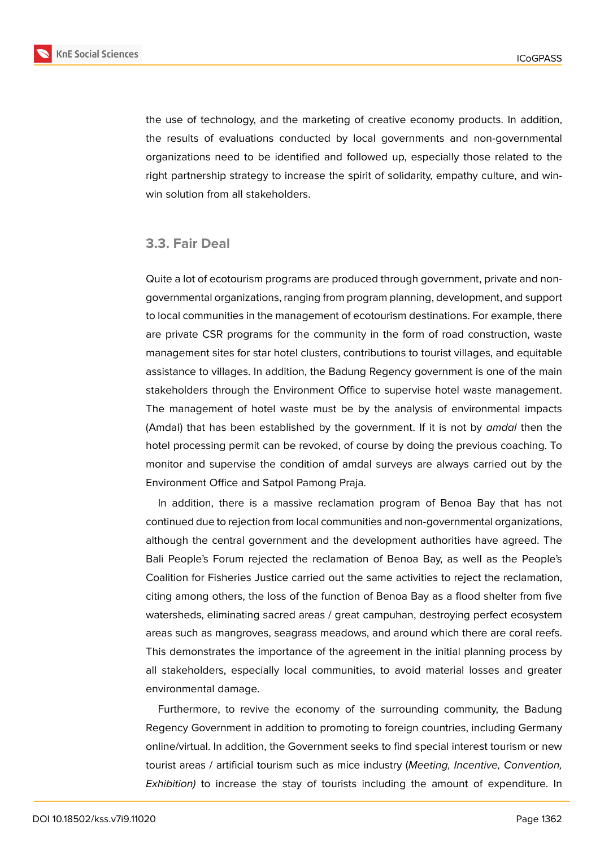

the use of technology, and the marketing of creative economy products. In addition, the results of evaluations conducted by local governments and non-governmental organizations need to be identified and followed up, especially those related to the right partnership strategy to increase the spirit of solidarity, empathy culture, and winwin solution from all stakeholders.

#### **3.3. Fair Deal**

Quite a lot of ecotourism programs are produced through government, private and nongovernmental organizations, ranging from program planning, development, and support to local communities in the management of ecotourism destinations. For example, there are private CSR programs for the community in the form of road construction, waste management sites for star hotel clusters, contributions to tourist villages, and equitable assistance to villages. In addition, the Badung Regency government is one of the main stakeholders through the Environment Office to supervise hotel waste management. The management of hotel waste must be by the analysis of environmental impacts (Amdal) that has been established by the government. If it is not by *amdal* then the hotel processing permit can be revoked, of course by doing the previous coaching. To monitor and supervise the condition of amdal surveys are always carried out by the Environment Office and Satpol Pamong Praja.

In addition, there is a massive reclamation program of Benoa Bay that has not continued due to rejection from local communities and non-governmental organizations, although the central government and the development authorities have agreed. The Bali People's Forum rejected the reclamation of Benoa Bay, as well as the People's Coalition for Fisheries Justice carried out the same activities to reject the reclamation, citing among others, the loss of the function of Benoa Bay as a flood shelter from five watersheds, eliminating sacred areas / great campuhan, destroying perfect ecosystem areas such as mangroves, seagrass meadows, and around which there are coral reefs. This demonstrates the importance of the agreement in the initial planning process by all stakeholders, especially local communities, to avoid material losses and greater environmental damage.

Furthermore, to revive the economy of the surrounding community, the Badung Regency Government in addition to promoting to foreign countries, including Germany online/virtual. In addition, the Government seeks to find special interest tourism or new tourist areas / artificial tourism such as mice industry (*Meeting, Incentive, Convention, Exhibition)* to increase the stay of tourists including the amount of expenditure. In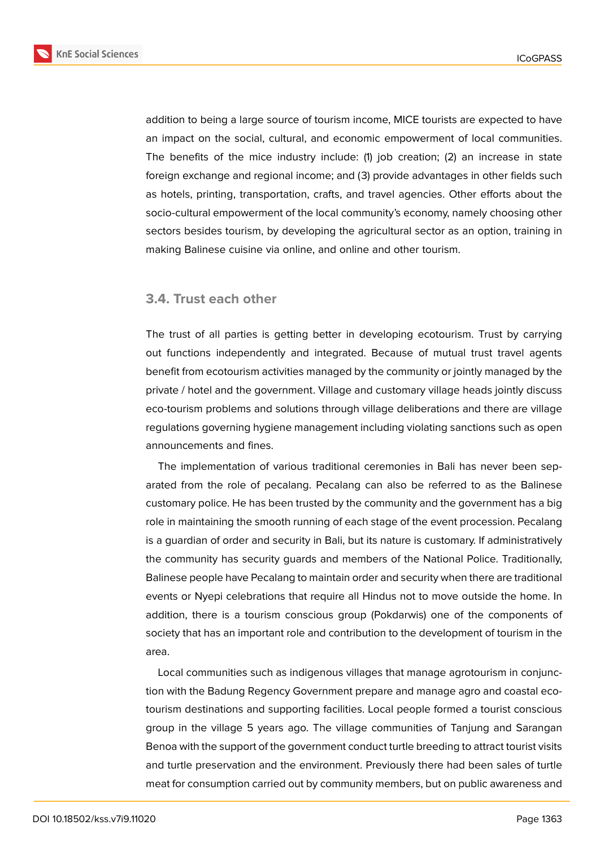

addition to being a large source of tourism income, MICE tourists are expected to have an impact on the social, cultural, and economic empowerment of local communities. The benefits of the mice industry include: (1) job creation; (2) an increase in state foreign exchange and regional income; and (3) provide advantages in other fields such as hotels, printing, transportation, crafts, and travel agencies. Other efforts about the socio-cultural empowerment of the local community's economy, namely choosing other sectors besides tourism, by developing the agricultural sector as an option, training in making Balinese cuisine via online, and online and other tourism.

#### **3.4. Trust each other**

The trust of all parties is getting better in developing ecotourism. Trust by carrying out functions independently and integrated. Because of mutual trust travel agents benefit from ecotourism activities managed by the community or jointly managed by the private / hotel and the government. Village and customary village heads jointly discuss eco-tourism problems and solutions through village deliberations and there are village regulations governing hygiene management including violating sanctions such as open announcements and fines.

The implementation of various traditional ceremonies in Bali has never been separated from the role of pecalang. Pecalang can also be referred to as the Balinese customary police. He has been trusted by the community and the government has a big role in maintaining the smooth running of each stage of the event procession. Pecalang is a guardian of order and security in Bali, but its nature is customary. If administratively the community has security guards and members of the National Police. Traditionally, Balinese people have Pecalang to maintain order and security when there are traditional events or Nyepi celebrations that require all Hindus not to move outside the home. In addition, there is a tourism conscious group (Pokdarwis) one of the components of society that has an important role and contribution to the development of tourism in the area.

Local communities such as indigenous villages that manage agrotourism in conjunction with the Badung Regency Government prepare and manage agro and coastal ecotourism destinations and supporting facilities. Local people formed a tourist conscious group in the village 5 years ago. The village communities of Tanjung and Sarangan Benoa with the support of the government conduct turtle breeding to attract tourist visits and turtle preservation and the environment. Previously there had been sales of turtle meat for consumption carried out by community members, but on public awareness and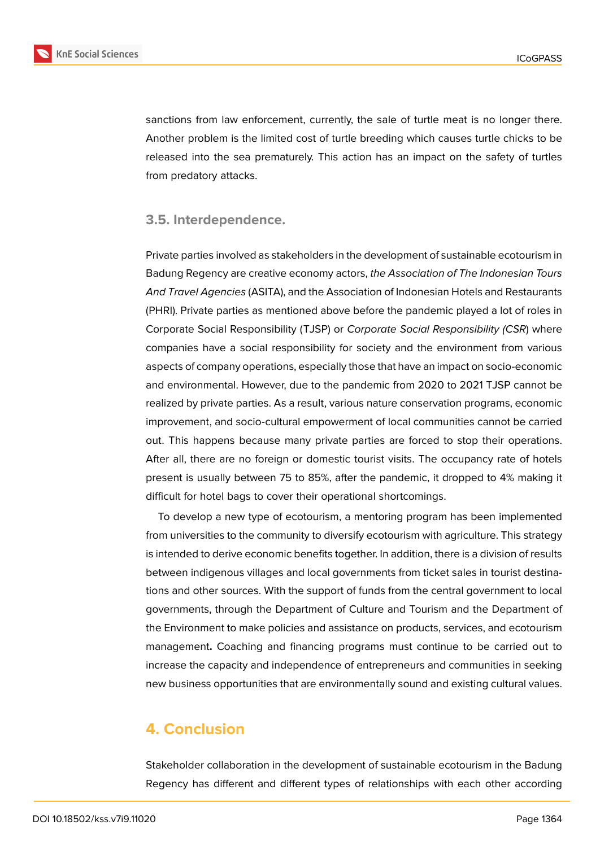

sanctions from law enforcement, currently, the sale of turtle meat is no longer there. Another problem is the limited cost of turtle breeding which causes turtle chicks to be released into the sea prematurely. This action has an impact on the safety of turtles from predatory attacks.

#### **3.5. Interdependence.**

Private parties involved as stakeholders in the development of sustainable ecotourism in Badung Regency are creative economy actors, *the Association of The Indonesian Tours And Travel Agencies* (ASITA), and the Association of Indonesian Hotels and Restaurants (PHRI). Private parties as mentioned above before the pandemic played a lot of roles in Corporate Social Responsibility (TJSP) or *Corporate Social Responsibility (CSR*) where companies have a social responsibility for society and the environment from various aspects of company operations, especially those that have an impact on socio-economic and environmental. However, due to the pandemic from 2020 to 2021 TJSP cannot be realized by private parties. As a result, various nature conservation programs, economic improvement, and socio-cultural empowerment of local communities cannot be carried out. This happens because many private parties are forced to stop their operations. After all, there are no foreign or domestic tourist visits. The occupancy rate of hotels present is usually between 75 to 85%, after the pandemic, it dropped to 4% making it difficult for hotel bags to cover their operational shortcomings.

To develop a new type of ecotourism, a mentoring program has been implemented from universities to the community to diversify ecotourism with agriculture. This strategy is intended to derive economic benefits together. In addition, there is a division of results between indigenous villages and local governments from ticket sales in tourist destinations and other sources. With the support of funds from the central government to local governments, through the Department of Culture and Tourism and the Department of the Environment to make policies and assistance on products, services, and ecotourism management**.** Coaching and financing programs must continue to be carried out to increase the capacity and independence of entrepreneurs and communities in seeking new business opportunities that are environmentally sound and existing cultural values.

# **4. Conclusion**

Stakeholder collaboration in the development of sustainable ecotourism in the Badung Regency has different and different types of relationships with each other according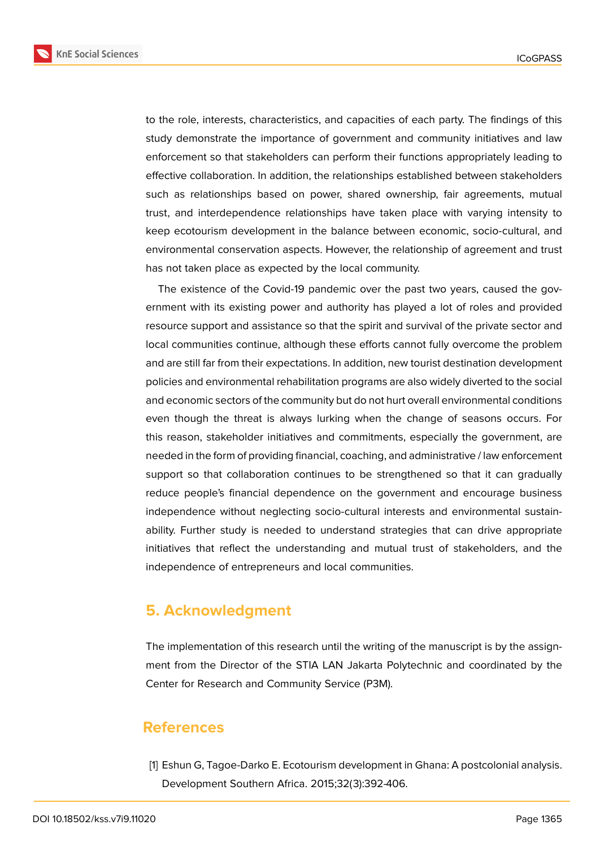**KnE Social Sciences** 



to the role, interests, characteristics, and capacities of each party. The findings of this study demonstrate the importance of government and community initiatives and law enforcement so that stakeholders can perform their functions appropriately leading to effective collaboration. In addition, the relationships established between stakeholders such as relationships based on power, shared ownership, fair agreements, mutual trust, and interdependence relationships have taken place with varying intensity to keep ecotourism development in the balance between economic, socio-cultural, and environmental conservation aspects. However, the relationship of agreement and trust has not taken place as expected by the local community.

The existence of the Covid-19 pandemic over the past two years, caused the government with its existing power and authority has played a lot of roles and provided resource support and assistance so that the spirit and survival of the private sector and local communities continue, although these efforts cannot fully overcome the problem and are still far from their expectations. In addition, new tourist destination development policies and environmental rehabilitation programs are also widely diverted to the social and economic sectors of the community but do not hurt overall environmental conditions even though the threat is always lurking when the change of seasons occurs. For this reason, stakeholder initiatives and commitments, especially the government, are needed in the form of providing financial, coaching, and administrative / law enforcement support so that collaboration continues to be strengthened so that it can gradually reduce people's financial dependence on the government and encourage business independence without neglecting socio-cultural interests and environmental sustainability. Further study is needed to understand strategies that can drive appropriate initiatives that reflect the understanding and mutual trust of stakeholders, and the independence of entrepreneurs and local communities.

## **5. Acknowledgment**

The implementation of this research until the writing of the manuscript is by the assignment from the Director of the STIA LAN Jakarta Polytechnic and coordinated by the Center for Research and Community Service (P3M).

## **References**

[1] Eshun G, Tagoe-Darko E. Ecotourism development in Ghana: A postcolonial analysis. Development Southern Africa. 2015;32(3):392-406.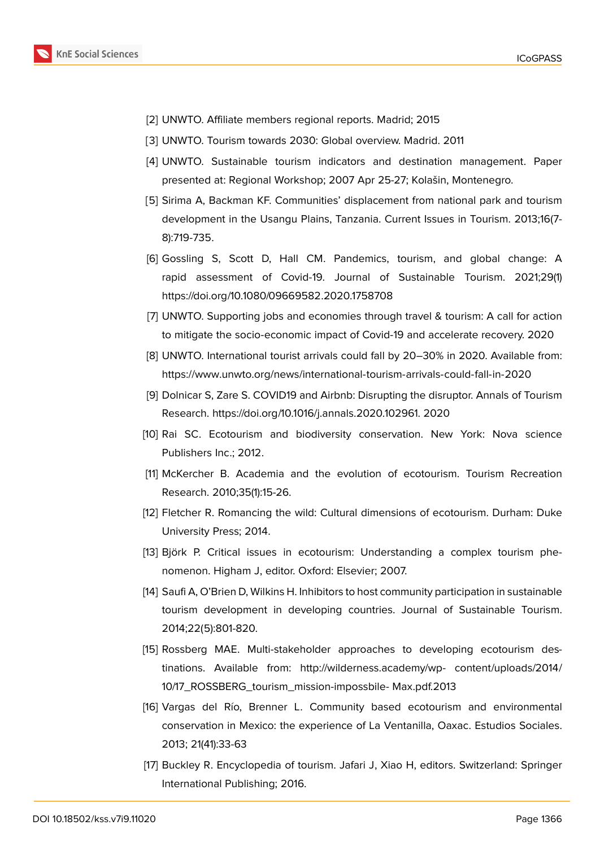- [2] UNWTO. Affiliate members regional reports. Madrid; 2015
- [3] UNWTO. Tourism towards 2030: Global overview. Madrid. 2011
- <span id="page-18-0"></span>[4] UNWTO. Sustainable tourism indicators and destination management. Paper presented at: Regional Workshop; 2007 Apr 25-27; Kolašin, Montenegro.
- [5] Sirima A, Backman KF. Communities' displacement from national park and tourism development in the Usangu Plains, Tanzania. Current Issues in Tourism. 2013;16(7- 8):719-735.
- <span id="page-18-1"></span>[6] Gossling S, Scott D, Hall CM. Pandemics, tourism, and global change: A rapid assessment of Covid-19. Journal of Sustainable Tourism. 2021;29(1) https://doi.org/10.1080/09669582.2020.1758708
- [7] UNWTO. Supporting jobs and economies through travel & tourism: A call for action to mitigate the socio-economic impact of Covid-19 and accelerate recovery. 2020
- <span id="page-18-2"></span>[8] UNWTO. International tourist arrivals could fall by 20–30% in 2020. Available from: https://www.unwto.org/news/international-tourism-arrivals-could-fall-in-2020
- <span id="page-18-3"></span>[9] Dolnicar S, Zare S. COVID19 and Airbnb: Disrupting the disruptor. Annals of Tourism Research. https://doi.org/10.1016/j.annals.2020.102961. 2020
- <span id="page-18-4"></span>[10] [Rai SC. Ecotourism and biodiversity conservation. New York: Nova sc](https://www.unwto.org/news/international-tourism-arrivals-could-fall-in-2020)ience Publishers Inc.; 2012.
- [11] McKercher B. Academia and the evolution of ecotourism. Tourism Recreation Research. 2010;35(1):15-26.
- [12] Fletcher R. Romancing the wild: Cultural dimensions of ecotourism. Durham: Duke University Press; 2014.
- <span id="page-18-5"></span>[13] Björk P. Critical issues in ecotourism: Understanding a complex tourism phenomenon. Higham J, editor. Oxford: Elsevier; 2007.
- <span id="page-18-6"></span>[14] Saufi A, O'Brien D, Wilkins H. Inhibitors to host community participation in sustainable tourism development in developing countries. Journal of Sustainable Tourism. 2014;22(5):801-820.
- <span id="page-18-7"></span>[15] Rossberg MAE. Multi-stakeholder approaches to developing ecotourism destinations. Available from: http://wilderness.academy/wp- content/uploads/2014/ 10/17\_ROSSBERG\_tourism\_mission-impossbile- Max.pdf.2013
- <span id="page-18-8"></span>[16] Vargas del Río, Brenner L. Community based ecotourism and environmental conservation in Mexico: the experience of La Ventanilla, Oaxac. Estudios Sociales. 2013; 21(41):33-63
- <span id="page-18-10"></span><span id="page-18-9"></span>[17] Buckley R. Encyclopedia of tourism. Jafari J, Xiao H, editors. Switzerland: Springer International Publishing; 2016.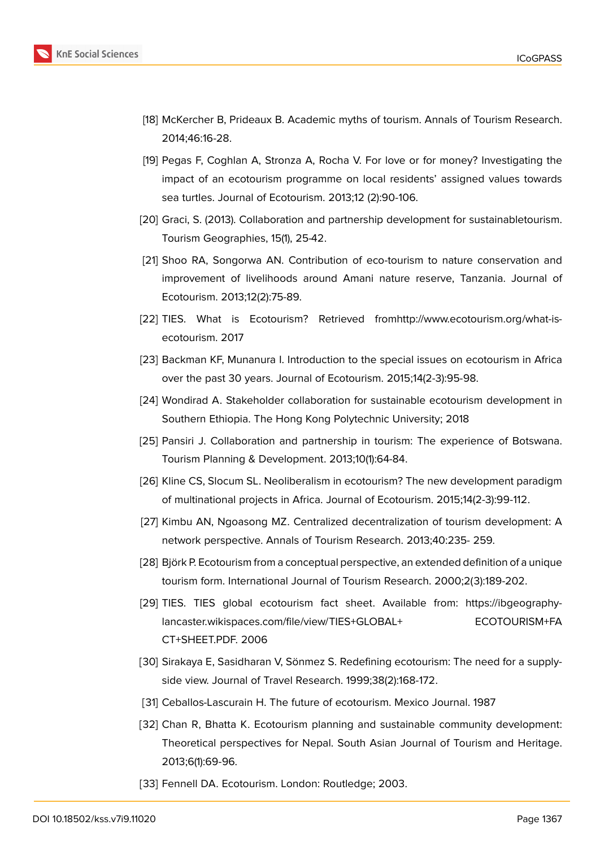

- <span id="page-19-0"></span>[18] McKercher B, Prideaux B. Academic myths of tourism. Annals of Tourism Research. 2014;46:16-28.
- <span id="page-19-1"></span>[19] Pegas F, Coghlan A, Stronza A, Rocha V. For love or for money? Investigating the impact of an ecotourism programme on local residents' assigned values towards sea turtles. Journal of Ecotourism. 2013;12 (2):90-106.
- <span id="page-19-2"></span>[20] Graci, S. (2013). Collaboration and partnership development for sustainabletourism. Tourism Geographies, 15(1), 25-42.
- <span id="page-19-3"></span>[21] Shoo RA, Songorwa AN. Contribution of eco-tourism to nature conservation and improvement of livelihoods around Amani nature reserve, Tanzania. Journal of Ecotourism. 2013;12(2):75-89.
- [22] TIES. What is Ecotourism? Retrieved fromhttp://www.ecotourism.org/what-isecotourism. 2017
- <span id="page-19-4"></span>[23] Backman KF, Munanura I. Introduction to the special issues on ecotourism in Africa over the past 30 years. Journal of Ecotourism. 2015;14(2-3):95-98.
- <span id="page-19-5"></span>[24] Wondirad A. Stakeholder collaboration for sustainable ecotourism development in Southern Ethiopia. The Hong Kong Polytechnic University; 2018
- <span id="page-19-6"></span>[25] Pansiri J. Collaboration and partnership in tourism: The experience of Botswana. Tourism Planning & Development. 2013;10(1):64-84.
- <span id="page-19-7"></span>[26] Kline CS, Slocum SL. Neoliberalism in ecotourism? The new development paradigm of multinational projects in Africa. Journal of Ecotourism. 2015;14(2-3):99-112.
- <span id="page-19-8"></span>[27] Kimbu AN, Ngoasong MZ. Centralized decentralization of tourism development: A network perspective. Annals of Tourism Research. 2013;40:235- 259.
- <span id="page-19-10"></span>[28] Björk P. Ecotourism from a conceptual perspective, an extended definition of a unique tourism form. International Journal of Tourism Research. 2000;2(3):189-202.
- [29] TIES. TIES global ecotourism fact sheet. Available from: https://ibgeographylancaster.wikispaces.com/file/view/TIES+GLOBAL+ ECOTOURISM+FA CT+SHEET.PDF. 2006
- <span id="page-19-9"></span>[30] Sirakaya E, Sasidharan V, Sönmez S. Redefining ecotourism: The need for a supplyside view. Journal of Travel Research. 1999;38(2):168-172.
- <span id="page-19-11"></span>[31] Ceballos-Lascurain H. The future of ecotourism. Mexico Journal. 1987
- <span id="page-19-12"></span>[32] Chan R, Bhatta K. Ecotourism planning and sustainable community development: Theoretical perspectives for Nepal. South Asian Journal of Tourism and Heritage. 2013;6(1):69-96.
- <span id="page-19-13"></span>[33] Fennell DA. Ecotourism. London: Routledge; 2003.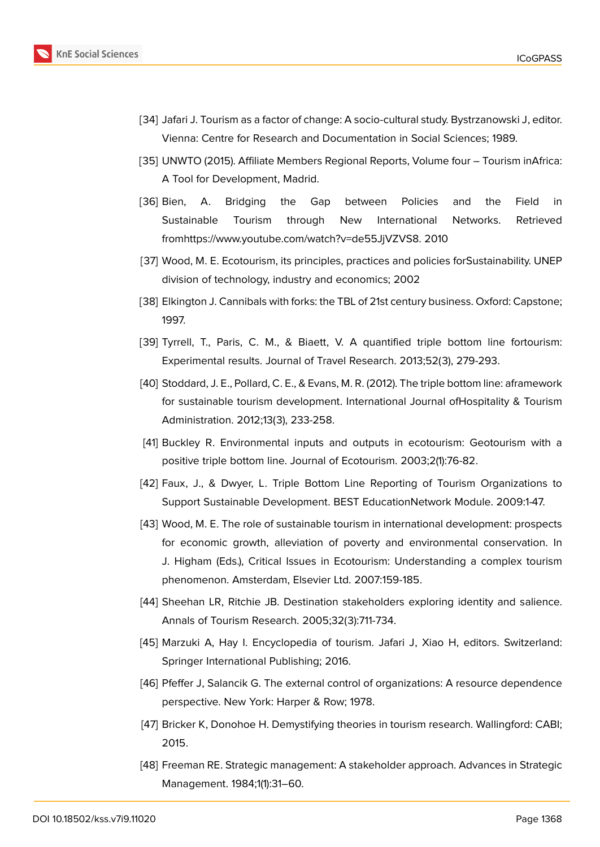

- <span id="page-20-0"></span>[34] Jafari J. Tourism as a factor of change: A socio-cultural study. Bystrzanowski J, editor. Vienna: Centre for Research and Documentation in Social Sciences; 1989.
- [35] UNWTO (2015). Affiliate Members Regional Reports, Volume four Tourism inAfrica: A Tool for Development, Madrid.
- <span id="page-20-1"></span>[36] Bien, A. Bridging the Gap between Policies and the Field in Sustainable Tourism through New International Networks. Retrieved fromhttps://www.youtube.com/watch?v=de55JjVZVS8. 2010
- <span id="page-20-2"></span>[37] Wood, M. E. Ecotourism, its principles, practices and policies forSustainability. UNEP division of technology, industry and economics; 2002
- <span id="page-20-3"></span>[38] Elkington J. Cannibals with forks: the TBL of 21st century business. Oxford: Capstone; 1997.
- [39] Tyrrell, T., Paris, C. M., & Biaett, V. A quantified triple bottom line fortourism: Experimental results. Journal of Travel Research. 2013;52(3), 279-293.
- <span id="page-20-4"></span>[40] Stoddard, J. E., Pollard, C. E., & Evans, M. R. (2012). The triple bottom line: aframework for sustainable tourism development. International Journal ofHospitality & Tourism Administration. 2012;13(3), 233-258.
- <span id="page-20-5"></span>[41] Buckley R. Environmental inputs and outputs in ecotourism: Geotourism with a positive triple bottom line. Journal of Ecotourism. 2003;2(1):76-82.
- [42] Faux, J., & Dwyer, L. Triple Bottom Line Reporting of Tourism Organizations to Support Sustainable Development. BEST EducationNetwork Module. 2009:1-47.
- [43] Wood, M. E. The role of sustainable tourism in international development: prospects for economic growth, alleviation of poverty and environmental conservation. In J. Higham (Eds.), Critical Issues in Ecotourism: Understanding a complex tourism phenomenon. Amsterdam, Elsevier Ltd. 2007:159-185.
- <span id="page-20-6"></span>[44] Sheehan LR, Ritchie JB. Destination stakeholders exploring identity and salience. Annals of Tourism Research. 2005;32(3):711-734.
- [45] Marzuki A, Hay I. Encyclopedia of tourism. Jafari J, Xiao H, editors. Switzerland: Springer International Publishing; 2016.
- [46] Pfeffer J, Salancik G. The external control of organizations: A resource dependence perspective. New York: Harper & Row; 1978.
- [47] Bricker K, Donohoe H. Demystifying theories in tourism research. Wallingford: CABI; 2015.
- <span id="page-20-7"></span>[48] Freeman RE. Strategic management: A stakeholder approach. Advances in Strategic Management. 1984;1(1):31–60.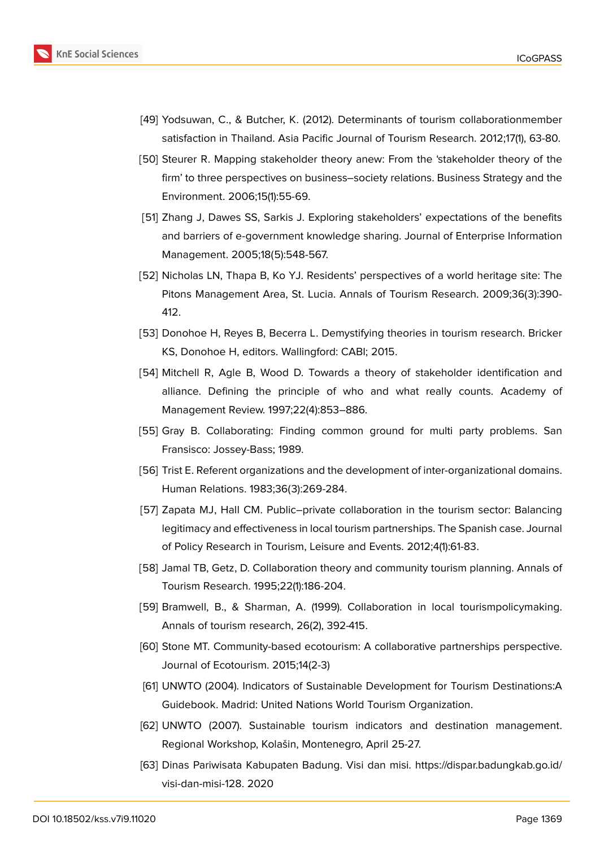

- <span id="page-21-0"></span>[49] Yodsuwan, C., & Butcher, K. (2012). Determinants of tourism collaborationmember satisfaction in Thailand. Asia Pacific Journal of Tourism Research. 2012;17(1), 63-80.
- <span id="page-21-1"></span>[50] Steurer R. Mapping stakeholder theory anew: From the 'stakeholder theory of the firm' to three perspectives on business–society relations. Business Strategy and the Environment. 2006;15(1):55-69.
- <span id="page-21-2"></span>[51] Zhang J, Dawes SS, Sarkis J. Exploring stakeholders' expectations of the benefits and barriers of e-government knowledge sharing. Journal of Enterprise Information Management. 2005;18(5):548-567.
- <span id="page-21-3"></span>[52] Nicholas LN, Thapa B, Ko YJ. Residents' perspectives of a world heritage site: The Pitons Management Area, St. Lucia. Annals of Tourism Research. 2009;36(3):390- 412.
- <span id="page-21-4"></span>[53] Donohoe H, Reyes B, Becerra L. Demystifying theories in tourism research. Bricker KS, Donohoe H, editors. Wallingford: CABI; 2015.
- <span id="page-21-5"></span>[54] Mitchell R, Agle B, Wood D. Towards a theory of stakeholder identification and alliance. Defining the principle of who and what really counts. Academy of Management Review. 1997;22(4):853–886.
- <span id="page-21-6"></span>[55] Gray B. Collaborating: Finding common ground for multi party problems. San Fransisco: Jossey-Bass; 1989.
- [56] Trist E. Referent organizations and the development of inter-organizational domains. Human Relations. 1983;36(3):269-284.
- <span id="page-21-7"></span>[57] Zapata MJ, Hall CM. Public–private collaboration in the tourism sector: Balancing legitimacy and effectiveness in local tourism partnerships. The Spanish case. Journal of Policy Research in Tourism, Leisure and Events. 2012;4(1):61-83.
- <span id="page-21-8"></span>[58] Jamal TB, Getz, D. Collaboration theory and community tourism planning. Annals of Tourism Research. 1995;22(1):186-204.
- <span id="page-21-9"></span>[59] Bramwell, B., & Sharman, A. (1999). Collaboration in local tourismpolicymaking. Annals of tourism research, 26(2), 392-415.
- <span id="page-21-10"></span>[60] Stone MT. Community-based ecotourism: A collaborative partnerships perspective. Journal of Ecotourism. 2015;14(2-3)
- <span id="page-21-11"></span>[61] UNWTO (2004). Indicators of Sustainable Development for Tourism Destinations:A Guidebook. Madrid: United Nations World Tourism Organization.
- <span id="page-21-12"></span>[62] UNWTO (2007). Sustainable tourism indicators and destination management. Regional Workshop, Kolašin, Montenegro, April 25-27.
- <span id="page-21-13"></span>[63] Dinas Pariwisata Kabupaten Badung. Visi dan misi. https://dispar.badungkab.go.id/ visi-dan-misi-128. 2020